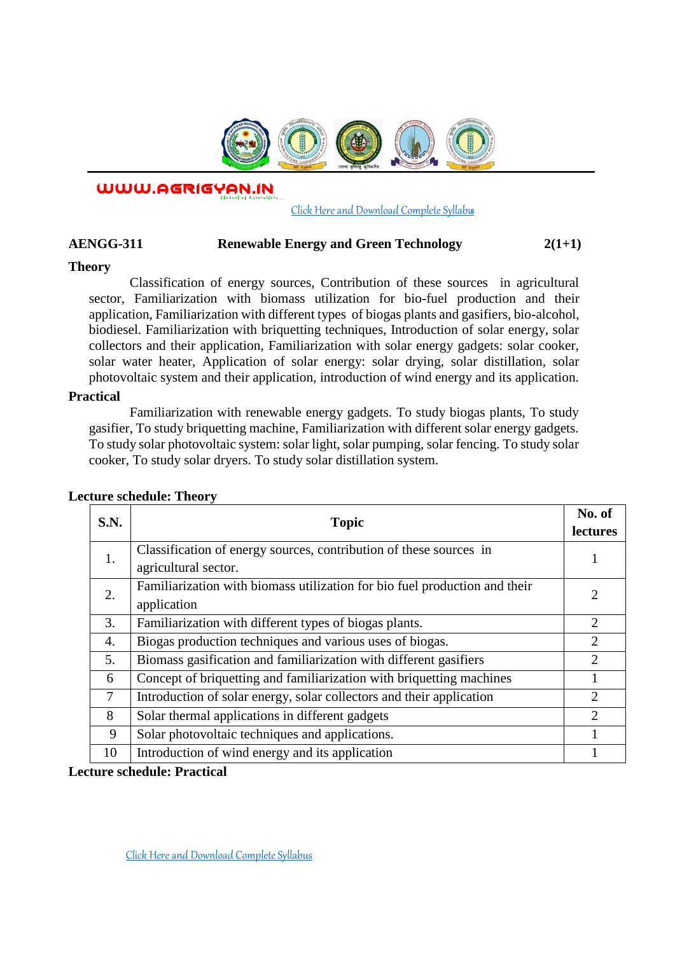

WWW.AGRIGYAN.IN

### [Click Here and Download Complete Syllabus](http://agrigyan.in/)

# **AENGG-311 Renewable Energy and Green Technology 2(1+1)**

## **Theory**

 $\overline{a}$ 

Classification of energy sources, Contribution of these sources in agricultural sector, Familiarization with biomass utilization for bio-fuel production and their application, Familiarization with different types of biogas plants and gasifiers, bio-alcohol, biodiesel. Familiarization with briquetting techniques, Introduction of solar energy, solar collectors and their application, Familiarization with solar energy gadgets: solar cooker, solar water heater, Application of solar energy: solar drying, solar distillation, solar photovoltaic system and their application, introduction of wind energy and its application.

## **Practical**

Familiarization with renewable energy gadgets. To study biogas plants, To study gasifier, To study briquetting machine, Familiarization with different solar energy gadgets. To study solar photovoltaic system: solar light, solar pumping, solar fencing. To study solar cooker, To study solar dryers. To study solar distillation system.

| <b>S.N.</b> | <b>Topic</b>                                                               | No. of<br>lectures |
|-------------|----------------------------------------------------------------------------|--------------------|
| 1.          | Classification of energy sources, contribution of these sources in         |                    |
|             | agricultural sector.                                                       |                    |
| 2.          | Familiarization with biomass utilization for bio fuel production and their | $\overline{2}$     |
|             | application                                                                |                    |
| 3.          | Familiarization with different types of biogas plants.                     | $\overline{2}$     |
| 4.          | Biogas production techniques and various uses of biogas.                   | $\overline{2}$     |
| 5.          | Biomass gasification and familiarization with different gasifiers          | $\overline{2}$     |
| 6           | Concept of briquetting and familiarization with briquetting machines       |                    |
| 7           | Introduction of solar energy, solar collectors and their application       | $\overline{2}$     |
| 8           | Solar thermal applications in different gadgets                            | 2                  |
| 9           | Solar photovoltaic techniques and applications.                            |                    |
| 10          | Introduction of wind energy and its application                            |                    |

## **Lecture schedule: Theory**

**Lecture schedule: Practical**